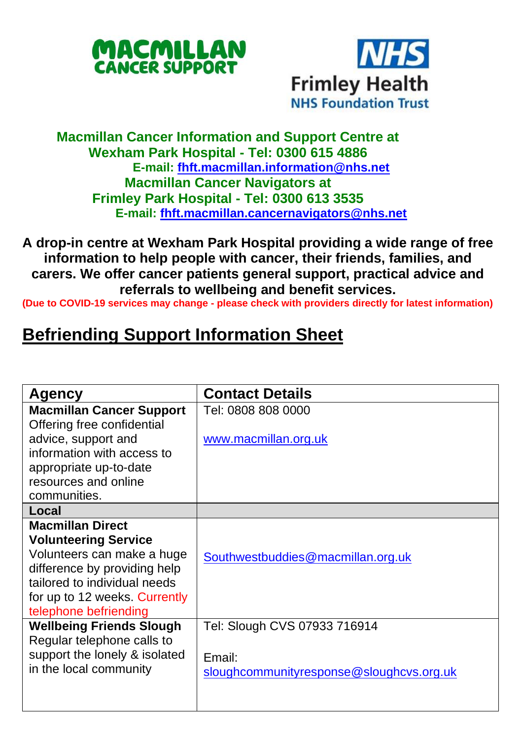



## **Macmillan Cancer Information and Support Centre at Wexham Park Hospital - Tel: 0300 615 4886 E-mail: [fhft.macmillan.information@nhs.net](mailto:fhft.macmillan.information@nhs.net) Macmillan Cancer Navigators at Frimley Park Hospital - Tel: 0300 613 3535 E-mail: [fhft.macmillan.cancernavigators@nhs.net](mailto:fhft.macmillan.cancernavigators@nhs.net)**

**A drop-in centre at Wexham Park Hospital providing a wide range of free information to help people with cancer, their friends, families, and carers. We offer cancer patients general support, practical advice and referrals to wellbeing and benefit services.**

**(Due to COVID-19 services may change - please check with providers directly for latest information)**

## **Befriending Support Information Sheet**

| Agency                          | <b>Contact Details</b>                   |
|---------------------------------|------------------------------------------|
| <b>Macmillan Cancer Support</b> | Tel: 0808 808 0000                       |
| Offering free confidential      |                                          |
| advice, support and             | www.macmillan.org.uk                     |
| information with access to      |                                          |
| appropriate up-to-date          |                                          |
| resources and online            |                                          |
| communities.                    |                                          |
| Local                           |                                          |
| <b>Macmillan Direct</b>         |                                          |
| <b>Volunteering Service</b>     |                                          |
| Volunteers can make a huge      | Southwestbuddies@macmillan.org.uk        |
| difference by providing help    |                                          |
| tailored to individual needs    |                                          |
| for up to 12 weeks. Currently   |                                          |
| telephone befriending           |                                          |
| <b>Wellbeing Friends Slough</b> | Tel: Slough CVS 07933 716914             |
| Regular telephone calls to      |                                          |
| support the lonely & isolated   | Email:                                   |
| in the local community          | sloughcommunityresponse@sloughcvs.org.uk |
|                                 |                                          |
|                                 |                                          |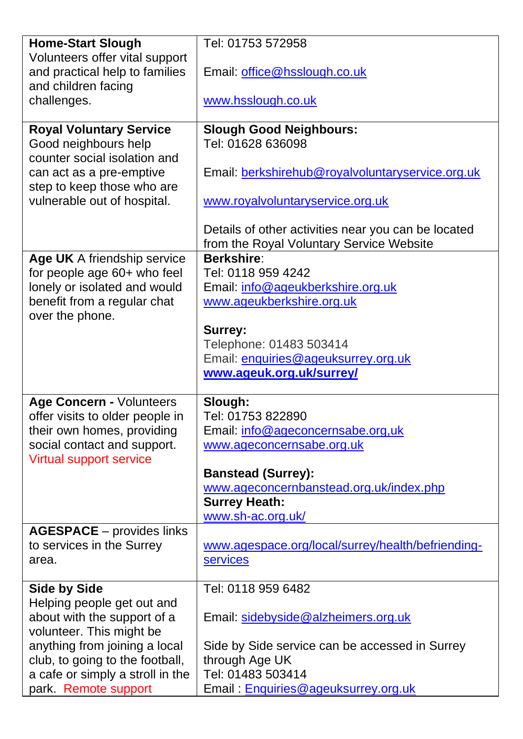| <b>Home-Start Slough</b>                                    | Tel: 01753 572958                                             |
|-------------------------------------------------------------|---------------------------------------------------------------|
| Volunteers offer vital support                              |                                                               |
| and practical help to families                              | Email: office@hsslough.co.uk                                  |
| and children facing                                         |                                                               |
| challenges.                                                 | www.hsslough.co.uk                                            |
|                                                             |                                                               |
| <b>Royal Voluntary Service</b>                              | <b>Slough Good Neighbours:</b>                                |
| Good neighbours help                                        | Tel: 01628 636098                                             |
| counter social isolation and                                |                                                               |
| can act as a pre-emptive                                    | Email: berkshirehub@royalvoluntaryservice.org.uk              |
| step to keep those who are                                  |                                                               |
| vulnerable out of hospital.                                 | www.royalvoluntaryservice.org.uk                              |
|                                                             |                                                               |
|                                                             | Details of other activities near you can be located           |
|                                                             | from the Royal Voluntary Service Website<br><b>Berkshire:</b> |
| Age UK A friendship service                                 | Tel: 0118 959 4242                                            |
| for people age 60+ who feel<br>lonely or isolated and would | Email: info@ageukberkshire.org.uk                             |
| benefit from a regular chat                                 | www.ageukberkshire.org.uk                                     |
| over the phone.                                             |                                                               |
|                                                             | Surrey:                                                       |
|                                                             | Telephone: 01483 503414                                       |
|                                                             | Email: enquiries@ageuksurrey.org.uk                           |
|                                                             | www.ageuk.org.uk/surrey/                                      |
|                                                             |                                                               |
| Age Concern - Volunteers                                    | Slough:                                                       |
| offer visits to older people in                             | Tel: 01753 822890                                             |
| their own homes, providing                                  | Email: info@ageconcernsabe.org,uk                             |
| social contact and support.                                 | www.ageconcernsabe.org.uk                                     |
| Virtual support service                                     |                                                               |
|                                                             | <b>Banstead (Surrey):</b>                                     |
|                                                             | www.ageconcernbanstead.org.uk/index.php                       |
|                                                             | <b>Surrey Heath:</b>                                          |
|                                                             | www.sh-ac.org.uk/                                             |
| <b>AGESPACE</b> - provides links                            |                                                               |
| to services in the Surrey                                   | www.agespace.org/local/surrey/health/befriending-             |
| area.                                                       | services                                                      |
|                                                             |                                                               |
| <b>Side by Side</b>                                         | Tel: 0118 959 6482                                            |
| Helping people get out and                                  |                                                               |
| about with the support of a                                 | Email: sidebyside@alzheimers.org.uk                           |
| volunteer. This might be                                    |                                                               |
| anything from joining a local                               | Side by Side service can be accessed in Surrey                |
| club, to going to the football,                             | through Age UK<br>Tel: 01483 503414                           |
| a cafe or simply a stroll in the<br>park Remote support     |                                                               |
|                                                             | Email: Enquiries@ageuksurrey.org.uk                           |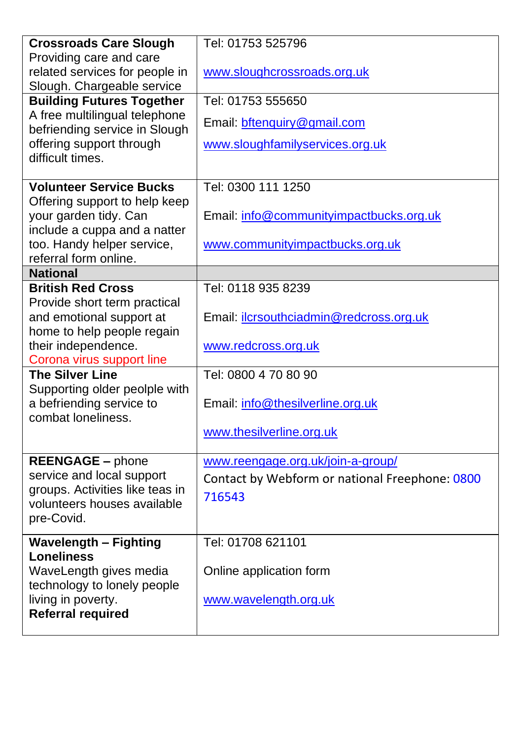| <b>Crossroads Care Slough</b>                                  | Tel: 01753 525796                              |
|----------------------------------------------------------------|------------------------------------------------|
| Providing care and care                                        |                                                |
| related services for people in                                 | www.sloughcrossroads.org.uk                    |
| Slough. Chargeable service                                     |                                                |
| <b>Building Futures Together</b>                               | Tel: 01753 555650                              |
| A free multilingual telephone<br>befriending service in Slough | Email: bftenquiry@gmail.com                    |
| offering support through<br>difficult times.                   | www.sloughfamilyservices.org.uk                |
|                                                                |                                                |
| <b>Volunteer Service Bucks</b>                                 | Tel: 0300 111 1250                             |
| Offering support to help keep                                  |                                                |
| your garden tidy. Can                                          | Email: info@communityimpactbucks.org.uk        |
| include a cuppa and a natter<br>too. Handy helper service,     | www.communityimpactbucks.org.uk                |
| referral form online.                                          |                                                |
| <b>National</b>                                                |                                                |
| <b>British Red Cross</b>                                       | Tel: 0118 935 8239                             |
| Provide short term practical                                   |                                                |
| and emotional support at                                       | Email: <i>ilcrsouthciadmin@redcross.org.uk</i> |
| home to help people regain                                     |                                                |
| their independence.                                            | www.redcross.org.uk                            |
| Corona virus support line<br><b>The Silver Line</b>            | Tel: 0800 4 70 80 90                           |
|                                                                |                                                |
| Supporting older peolple with<br>a befriending service to      | Email: info@thesilverline.org.uk               |
| combat loneliness.                                             |                                                |
|                                                                | www.thesilverline.org.uk                       |
|                                                                |                                                |
| <b>REENGAGE - phone</b>                                        | www.reengage.org.uk/join-a-group/              |
| service and local support                                      | Contact by Webform or national Freephone: 0800 |
| groups. Activities like teas in<br>volunteers houses available | 716543                                         |
| pre-Covid.                                                     |                                                |
|                                                                |                                                |
| <b>Wavelength - Fighting</b><br><b>Loneliness</b>              | Tel: 01708 621101                              |
| WaveLength gives media                                         | Online application form                        |
| technology to lonely people                                    |                                                |
| living in poverty.                                             | www.wavelength.org.uk                          |
| <b>Referral required</b>                                       |                                                |
|                                                                |                                                |